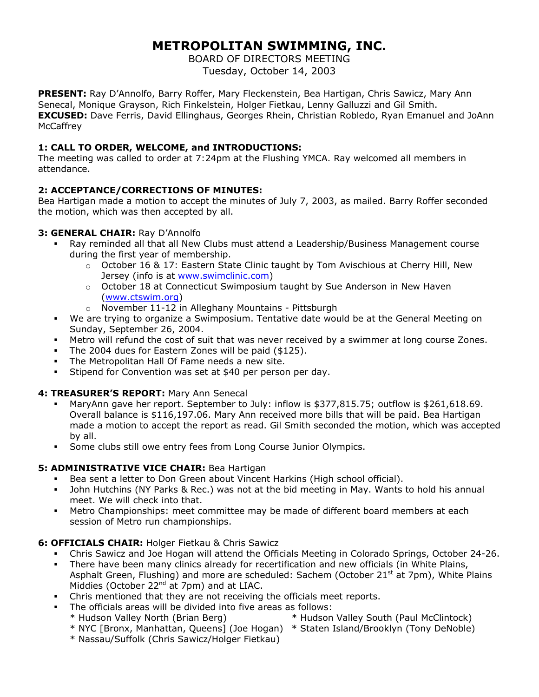# **METROPOLITAN SWIMMING, INC.**

BOARD OF DIRECTORS MEETING Tuesday, October 14, 2003

**PRESENT:** Ray D'Annolfo, Barry Roffer, Mary Fleckenstein, Bea Hartigan, Chris Sawicz, Mary Ann Senecal, Monique Grayson, Rich Finkelstein, Holger Fietkau, Lenny Galluzzi and Gil Smith. **EXCUSED:** Dave Ferris, David Ellinghaus, Georges Rhein, Christian Robledo, Ryan Emanuel and JoAnn **McCaffrey** 

# **1: CALL TO ORDER, WELCOME, and INTRODUCTIONS:**

The meeting was called to order at 7:24pm at the Flushing YMCA. Ray welcomed all members in attendance.

# **2: ACCEPTANCE/CORRECTIONS OF MINUTES:**

Bea Hartigan made a motion to accept the minutes of July 7, 2003, as mailed. Barry Roffer seconded the motion, which was then accepted by all.

# **3: GENERAL CHAIR:** Ray D'Annolfo

- Ray reminded all that all New Clubs must attend a Leadership/Business Management course during the first year of membership.
	- $\circ$  October 16 & 17: Eastern State Clinic taught by Tom Avischious at Cherry Hill, New Jersey (info is at [www.swimclinic.com\)](http://www.swimclinic.com/)
	- o October 18 at Connecticut Swimposium taught by Sue Anderson in New Haven ([www.ctswim.org](http://www.ctswim.org/))
	- o November 11-12 in Alleghany Mountains Pittsburgh
- We are trying to organize a Swimposium. Tentative date would be at the General Meeting on Sunday, September 26, 2004.
- Metro will refund the cost of suit that was never received by a swimmer at long course Zones.
- The 2004 dues for Eastern Zones will be paid (\$125).
- **The Metropolitan Hall Of Fame needs a new site.**
- Stipend for Convention was set at \$40 per person per day.

# **4: TREASURER'S REPORT:** Mary Ann Senecal

- MaryAnn gave her report. September to July: inflow is \$377,815.75; outflow is \$261,618.69. Overall balance is \$116,197.06. Mary Ann received more bills that will be paid. Bea Hartigan made a motion to accept the report as read. Gil Smith seconded the motion, which was accepted by all.
- Some clubs still owe entry fees from Long Course Junior Olympics.

# **5: ADMINISTRATIVE VICE CHAIR: Bea Hartigan**

- Bea sent a letter to Don Green about Vincent Harkins (High school official).
- John Hutchins (NY Parks & Rec.) was not at the bid meeting in May. Wants to hold his annual meet. We will check into that.
- Metro Championships: meet committee may be made of different board members at each session of Metro run championships.

# **6: OFFICIALS CHAIR:** Holger Fietkau & Chris Sawicz

- Chris Sawicz and Joe Hogan will attend the Officials Meeting in Colorado Springs, October 24-26.
- There have been many clinics already for recertification and new officials (in White Plains, Asphalt Green, Flushing) and more are scheduled: Sachem (October 21<sup>st</sup> at 7pm), White Plains Middies (October  $22^{nd}$  at 7pm) and at LIAC.
- Chris mentioned that they are not receiving the officials meet reports.
- The officials areas will be divided into five areas as follows:
	- \* Hudson Valley North (Brian Berg) \* Hudson Valley South (Paul McClintock)
		-
	- \* Nassau/Suffolk (Chris Sawicz/Holger Fietkau)
	- \* NYC [Bronx, Manhattan, Queens] (Joe Hogan) \* Staten Island/Brooklyn (Tony DeNoble)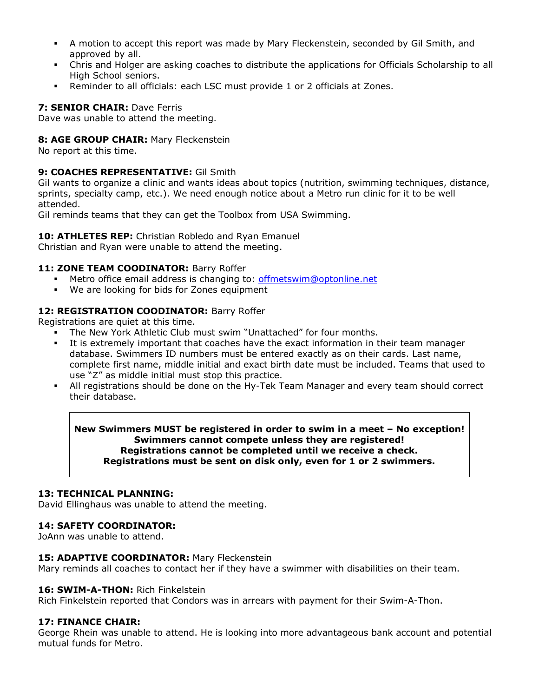- A motion to accept this report was made by Mary Fleckenstein, seconded by Gil Smith, and approved by all.
- Chris and Holger are asking coaches to distribute the applications for Officials Scholarship to all High School seniors.
- Reminder to all officials: each LSC must provide 1 or 2 officials at Zones.

## **7: SENIOR CHAIR:** Dave Ferris

Dave was unable to attend the meeting.

# **8: AGE GROUP CHAIR:** Mary Fleckenstein

No report at this time.

## **9: COACHES REPRESENTATIVE:** Gil Smith

Gil wants to organize a clinic and wants ideas about topics (nutrition, swimming techniques, distance, sprints, specialty camp, etc.). We need enough notice about a Metro run clinic for it to be well attended.

Gil reminds teams that they can get the Toolbox from USA Swimming.

# 10: **ATHLETES REP:** Christian Robledo and Ryan Emanuel

Christian and Ryan were unable to attend the meeting.

# 11: **ZONE TEAM COODINATOR: Barry Roffer**

- Metro office email address is changing to: [offmetswim@optonline.net](mailto:offmetswim@optonline.net)
- We are looking for bids for Zones equipment

## 12: REGISTRATION COODINATOR: Barry Roffer

Registrations are quiet at this time.

- The New York Athletic Club must swim "Unattached" for four months.
- It is extremely important that coaches have the exact information in their team manager database. Swimmers ID numbers must be entered exactly as on their cards. Last name, complete first name, middle initial and exact birth date must be included. Teams that used to use "Z" as middle initial must stop this practice.
- All registrations should be done on the Hy-Tek Team Manager and every team should correct their database.

## **New Swimmers MUST be registered in order to swim in a meet – No exception! Swimmers cannot compete unless they are registered! Registrations cannot be completed until we receive a check. Registrations must be sent on disk only, even for 1 or 2 swimmers.**

# **13: TECHNICAL PLANNING:**

David Ellinghaus was unable to attend the meeting.

## **14: SAFETY COORDINATOR:**

JoAnn was unable to attend.

## 15: **ADAPTIVE COORDINATOR:** Mary Fleckenstein

Mary reminds all coaches to contact her if they have a swimmer with disabilities on their team.

## 16: **SWIM-A-THON:** Rich Finkelstein

Rich Finkelstein reported that Condors was in arrears with payment for their Swim-A-Thon.

## **17: FINANCE CHAIR:**

George Rhein was unable to attend. He is looking into more advantageous bank account and potential mutual funds for Metro.